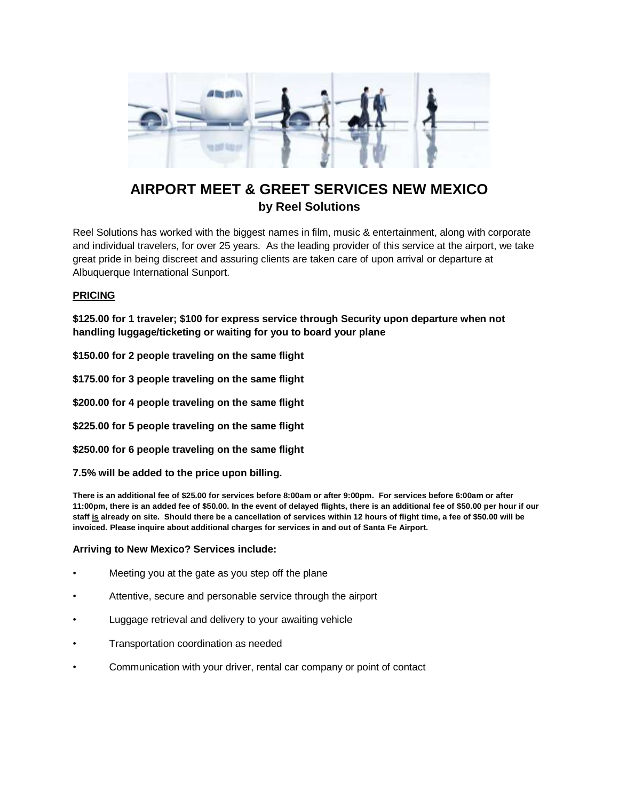

## **AIRPORT MEET & GREET SERVICES NEW MEXICO by Reel Solutions**

Reel Solutions has worked with the biggest names in film, music & entertainment, along with corporate and individual travelers, for over 25 years. As the leading provider of this service at the airport, we take great pride in being discreet and assuring clients are taken care of upon arrival or departure at Albuquerque International Sunport.

## **PRICING**

**\$125.00 for 1 traveler; \$100 for express service through Security upon departure when not handling luggage/ticketing or waiting for you to board your plane**

**\$150.00 for 2 people traveling on the same flight**

**\$175.00 for 3 people traveling on the same flight**

**\$200.00 for 4 people traveling on the same flight**

**\$225.00 for 5 people traveling on the same flight**

**\$250.00 for 6 people traveling on the same flight**

**7.5% will be added to the price upon billing.**

**There is an additional fee of \$25.00 for services before 8:00am or after 9:00pm. For services before 6:00am or after 11:00pm, there is an added fee of \$50.00. In the event of delayed flights, there is an additional fee of \$50.00 per hour if our staff is already on site. Should there be a cancellation of services within 12 hours of flight time, a fee of \$50.00 will be invoiced. Please inquire about additional charges for services in and out of Santa Fe Airport.**

## **Arriving to New Mexico? Services include:**

- Meeting you at the gate as you step off the plane
- Attentive, secure and personable service through the airport
- Luggage retrieval and delivery to your awaiting vehicle
- Transportation coordination as needed
- Communication with your driver, rental car company or point of contact